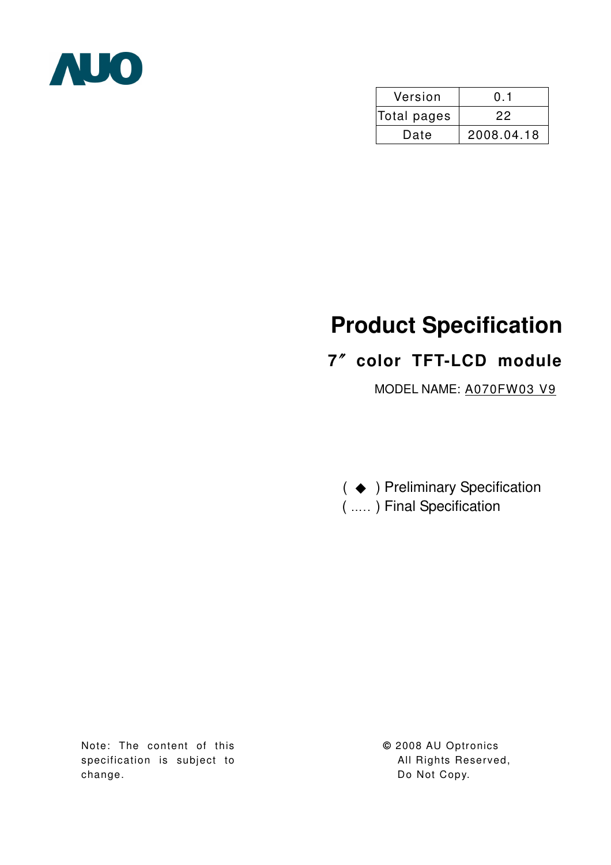

| Version     | 0.1        |  |  |
|-------------|------------|--|--|
| Total pages | 22         |  |  |
| Date        | 2008.04.18 |  |  |

# **Product Specification**

# **7**ϛ**color TFT-LCD module**

MODEL NAME: A070FW03 V9

( ♦ ) Preliminary Specification ( ….. ) Final Specification

Note: The content of this specification is subject to change.

**©** 2008 AU Optronics All Rights Reserved, Do Not Copy.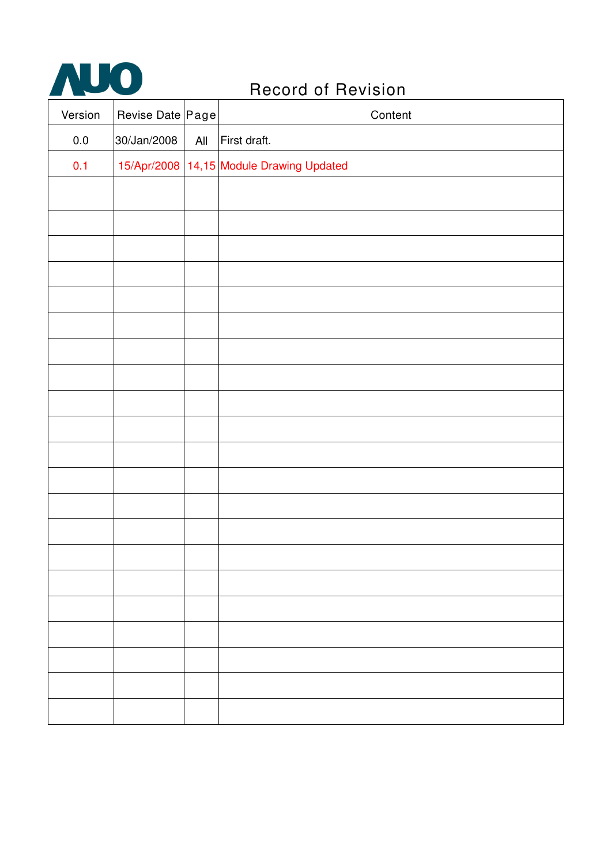

| Version | Revise Date Page |     | Content                                  |
|---------|------------------|-----|------------------------------------------|
| $0.0\,$ | 30/Jan/2008      | All | First draft.                             |
| 0.1     |                  |     | 15/Apr/2008 14,15 Module Drawing Updated |
|         |                  |     |                                          |
|         |                  |     |                                          |
|         |                  |     |                                          |
|         |                  |     |                                          |
|         |                  |     |                                          |
|         |                  |     |                                          |
|         |                  |     |                                          |
|         |                  |     |                                          |
|         |                  |     |                                          |
|         |                  |     |                                          |
|         |                  |     |                                          |
|         |                  |     |                                          |
|         |                  |     |                                          |
|         |                  |     |                                          |
|         |                  |     |                                          |
|         |                  |     |                                          |
|         |                  |     |                                          |
|         |                  |     |                                          |
|         |                  |     |                                          |
|         |                  |     |                                          |
|         |                  |     |                                          |
|         |                  |     |                                          |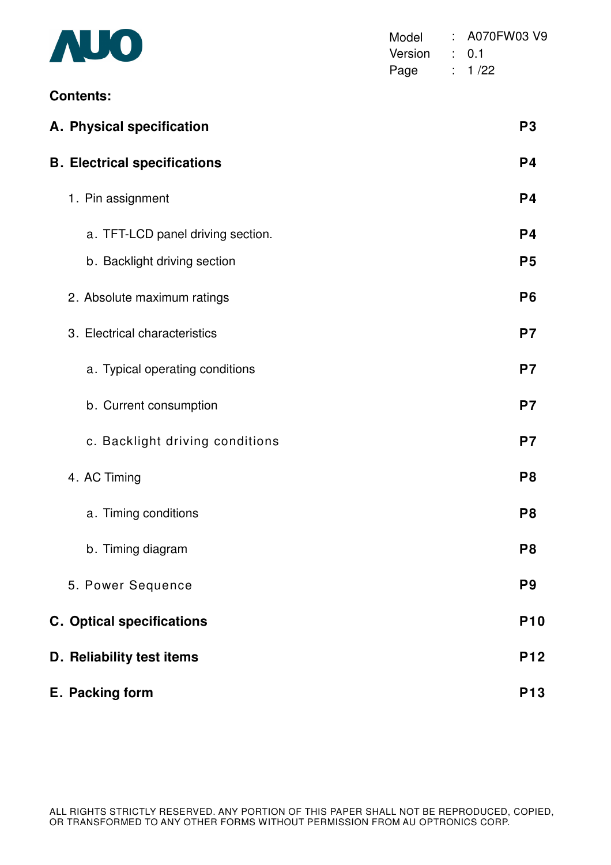| AUO                                 | Model<br>Version<br>Page | ÷. | A070FW03 V9<br>: 0.1<br>: 1/22 |  |
|-------------------------------------|--------------------------|----|--------------------------------|--|
| <b>Contents:</b>                    |                          |    |                                |  |
| A. Physical specification           |                          |    | P <sub>3</sub>                 |  |
| <b>B. Electrical specifications</b> |                          |    | P <sub>4</sub>                 |  |
| 1. Pin assignment                   |                          |    | P <sub>4</sub>                 |  |
| a. TFT-LCD panel driving section.   |                          |    | P <sub>4</sub>                 |  |
| b. Backlight driving section        |                          |    | P <sub>5</sub>                 |  |
| 2. Absolute maximum ratings         |                          |    | P <sub>6</sub>                 |  |
| 3. Electrical characteristics       |                          |    | P <sub>7</sub>                 |  |
| a. Typical operating conditions     |                          |    | P7                             |  |
| b. Current consumption              |                          |    | P7                             |  |
| c. Backlight driving conditions     |                          |    | P7                             |  |
| 4. AC Timing                        |                          |    | P <sub>8</sub>                 |  |
| a. Timing conditions                |                          |    | P <sub>8</sub>                 |  |
| b. Timing diagram                   |                          |    | P <sub>8</sub>                 |  |
| 5. Power Sequence                   |                          |    | P <sub>9</sub>                 |  |
| <b>C. Optical specifications</b>    |                          |    | <b>P10</b>                     |  |
| D. Reliability test items           |                          |    | <b>P12</b>                     |  |
| E. Packing form                     |                          |    | <b>P13</b>                     |  |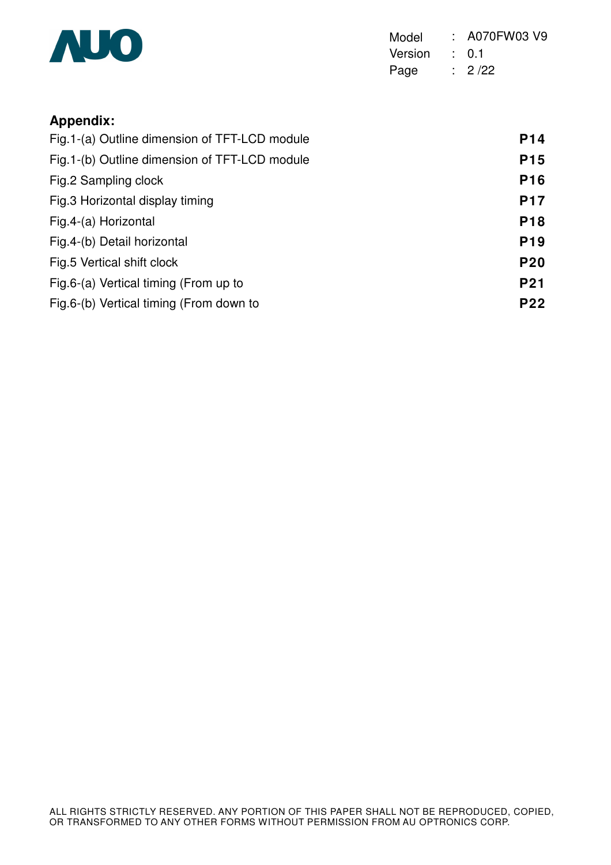

Model : A070FW03 V9 Version : 0.1 Page : 2 /22

# **Appendix:**

| Fig. 1-(a) Outline dimension of TFT-LCD module | P <sub>14</sub> |
|------------------------------------------------|-----------------|
| Fig. 1-(b) Outline dimension of TFT-LCD module | <b>P15</b>      |
| Fig.2 Sampling clock                           | <b>P16</b>      |
| Fig.3 Horizontal display timing                | <b>P17</b>      |
| Fig.4-(a) Horizontal                           | <b>P18</b>      |
| Fig.4-(b) Detail horizontal                    | P <sub>19</sub> |
| Fig.5 Vertical shift clock                     | <b>P20</b>      |
| Fig.6-(a) Vertical timing (From up to          | <b>P21</b>      |
| Fig.6-(b) Vertical timing (From down to        | <b>P22</b>      |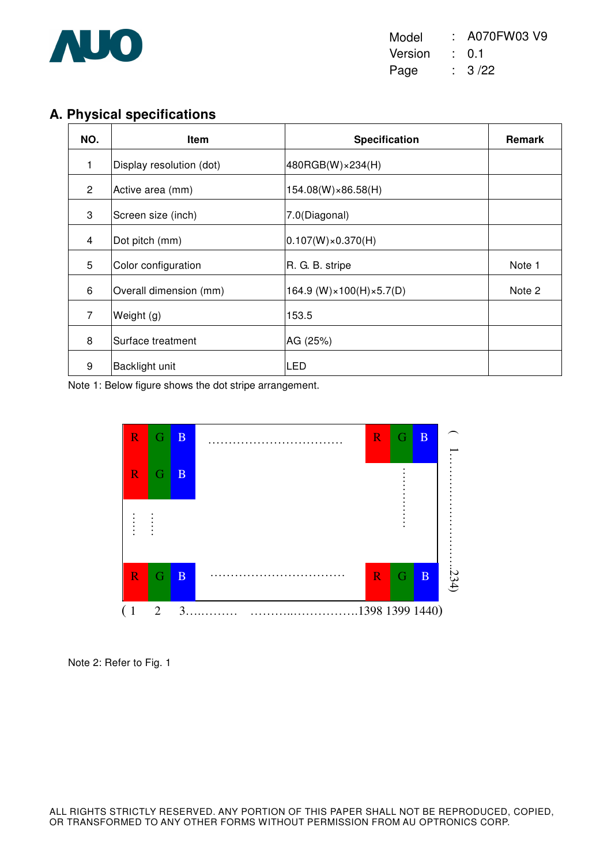

Model : A070FW03 V9 Version : 0.1 Page : 3 /22

# **A. Physical specifications**

| NO.            | <b>Item</b>              | Specification                               | <b>Remark</b> |
|----------------|--------------------------|---------------------------------------------|---------------|
| 1              | Display resolution (dot) | 480RGB(W)×234(H)                            |               |
| $\overline{2}$ | Active area (mm)         | 154.08(W)×86.58(H)                          |               |
| 3              | Screen size (inch)       | 7.0(Diagonal)                               |               |
| 4              | Dot pitch (mm)           | $ 0.107(W)\times0.370(H) $                  |               |
| 5              | Color configuration      | R. G. B. stripe                             | Note 1        |
| 6              | Overall dimension (mm)   | $164.9$ (W) $\times$ 100(H) $\times$ 5.7(D) | Note 2        |
| $\overline{7}$ | Weight (g)               | 153.5                                       |               |
| 8              | Surface treatment        | AG (25%)                                    |               |
| 9              | Backlight unit           | LED                                         |               |

Note 1: Below figure shows the dot stripe arrangement.



Note 2: Refer to Fig. 1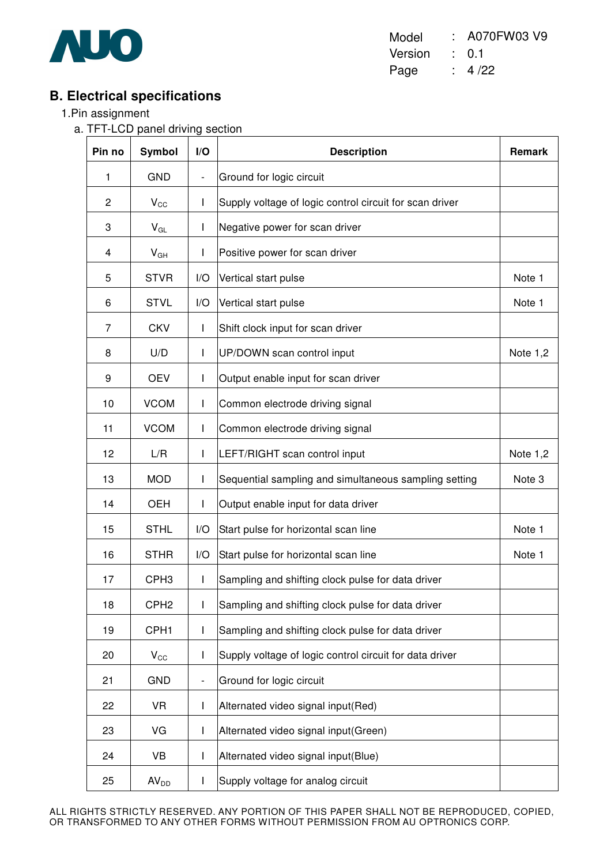

Model : A070FW03 V9 Version : 0.1 Page : 4 /22

## **B. Electrical specifications**

- 1.Pin assignment
	- a. TFT-LCD panel driving section

| Pin no | <b>Symbol</b>    | I/O                      | <b>Description</b>                                      | Remark            |
|--------|------------------|--------------------------|---------------------------------------------------------|-------------------|
| 1      | <b>GND</b>       | $\overline{\phantom{a}}$ | Ground for logic circuit                                |                   |
| 2      | $V_{\rm CC}$     | $\mathsf{I}$             | Supply voltage of logic control circuit for scan driver |                   |
| 3      | $V_{GL}$         | $\mathsf{I}$             | Negative power for scan driver                          |                   |
| 4      | $V_{GH}$         | $\mathsf{I}$             | Positive power for scan driver                          |                   |
| 5      | <b>STVR</b>      | I/O                      | Vertical start pulse                                    | Note 1            |
| 6      | <b>STVL</b>      | I/O                      | Vertical start pulse                                    | Note 1            |
| 7      | <b>CKV</b>       | $\mathsf{I}$             | Shift clock input for scan driver                       |                   |
| 8      | U/D              | T                        | UP/DOWN scan control input                              | Note $1,2$        |
| 9      | <b>OEV</b>       | $\mathsf{I}$             | Output enable input for scan driver                     |                   |
| 10     | <b>VCOM</b>      | L                        | Common electrode driving signal                         |                   |
| 11     | <b>VCOM</b>      | T                        | Common electrode driving signal                         |                   |
| 12     | L/R              | $\mathsf{I}$             | LEFT/RIGHT scan control input                           | Note $1,2$        |
| 13     | <b>MOD</b>       | $\mathbf{I}$             | Sequential sampling and simultaneous sampling setting   | Note <sub>3</sub> |
| 14     | <b>OEH</b>       | $\mathsf{I}$             | Output enable input for data driver                     |                   |
| 15     | <b>STHL</b>      | I/O                      | Start pulse for horizontal scan line                    | Note 1            |
| 16     | <b>STHR</b>      | I/O                      | Start pulse for horizontal scan line                    | Note 1            |
| 17     | CPH <sub>3</sub> | I                        | Sampling and shifting clock pulse for data driver       |                   |
| 18     | CPH <sub>2</sub> | I                        | Sampling and shifting clock pulse for data driver       |                   |
| 19     | CPH <sub>1</sub> | L                        | Sampling and shifting clock pulse for data driver       |                   |
| 20     | $V_{\rm CC}$     | $\mathsf{I}$             | Supply voltage of logic control circuit for data driver |                   |
| 21     | <b>GND</b>       | $\overline{\phantom{a}}$ | Ground for logic circuit                                |                   |
| 22     | <b>VR</b>        | L                        | Alternated video signal input(Red)                      |                   |
| 23     | VG               | L                        | Alternated video signal input(Green)                    |                   |
| 24     | VB               | I                        | Alternated video signal input(Blue)                     |                   |
| 25     | AV <sub>DD</sub> | I                        | Supply voltage for analog circuit                       |                   |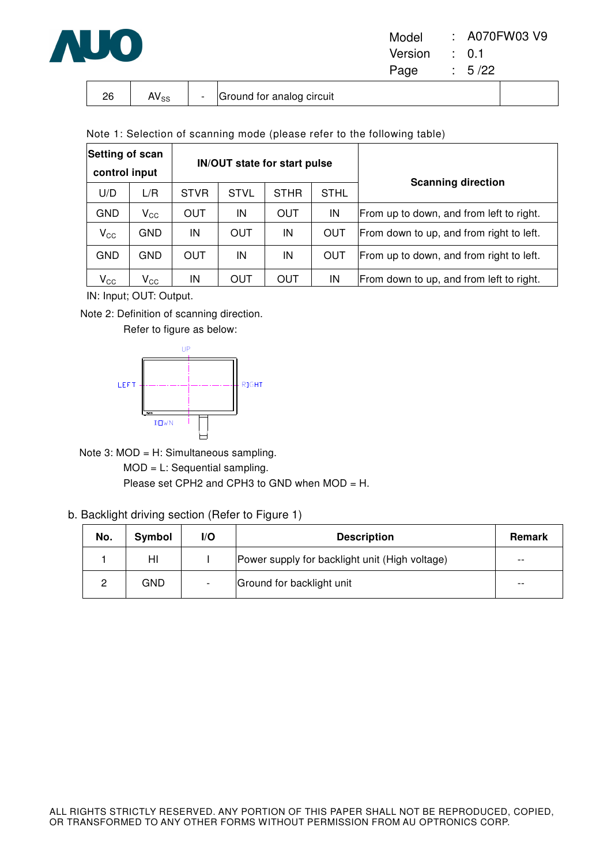

| Model   | : A070FW03 V9    |
|---------|------------------|
| Version | $\therefore$ 0.1 |
| Page    | : 5/22           |

| nc | AVee | $\overline{\phantom{0}}$ | Ground for analog circuit |  |
|----|------|--------------------------|---------------------------|--|

Note 1: Selection of scanning mode (please refer to the following table)

| Setting of scan<br>control input |              |             |             | <b>IN/OUT state for start pulse</b> |             | <b>Scanning direction</b>                |
|----------------------------------|--------------|-------------|-------------|-------------------------------------|-------------|------------------------------------------|
| U/D                              | L/R          | <b>STVR</b> | <b>STVL</b> | <b>STHR</b>                         | <b>STHL</b> |                                          |
| <b>GND</b>                       | $V_{\rm CC}$ | OUT         | IN          | OUT                                 | IN          | From up to down, and from left to right. |
| $\mathsf{V}_{\mathsf{CC}}$       | <b>GND</b>   | IN          | <b>OUT</b>  | IN                                  | <b>OUT</b>  | From down to up, and from right to left. |
| <b>GND</b>                       | <b>GND</b>   | OUT         | IN          | IN                                  | OUT         | From up to down, and from right to left. |
| $\mathsf{V}_{\mathsf{CC}}$       | $V_{\rm CC}$ | IN          | OUT         | OUT                                 | IN          | From down to up, and from left to right. |

IN: Input; OUT: Output.

Note 2: Definition of scanning direction.

Refer to figure as below:



Note 3: MOD = H: Simultaneous sampling. MOD = L: Sequential sampling.

Please set CPH2 and CPH3 to GND when MOD = H.

#### b. Backlight driving section (Refer to Figure 1)

| No. | Symbol | I/O | <b>Description</b>                             | <b>Remark</b> |
|-----|--------|-----|------------------------------------------------|---------------|
|     | HI     |     | Power supply for backlight unit (High voltage) | $- -$         |
|     | GND    |     | Ground for backlight unit                      | $- -$         |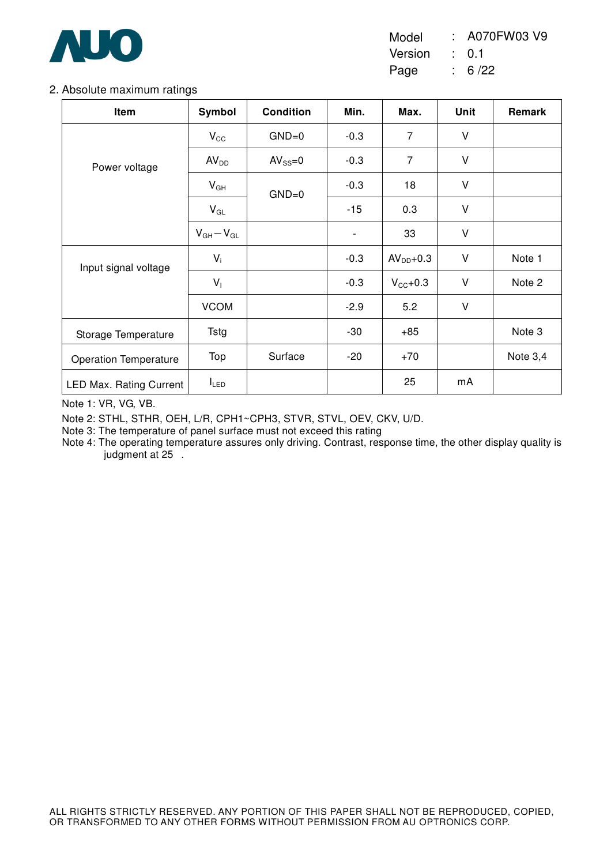

Model : A070FW03 V9

Version : 0.1

Page : 6 /22

#### 2. Absolute maximum ratings

| Item                           | Symbol                     | <b>Condition</b> | Min.                     | Max.                | <b>Unit</b> | Remark     |
|--------------------------------|----------------------------|------------------|--------------------------|---------------------|-------------|------------|
|                                | $V_{\rm CC}$               | $GND=0$          | $-0.3$                   | $\overline{7}$      | V           |            |
| Power voltage                  | AV <sub>DD</sub>           | $AV_{SS}=0$      | $-0.3$                   | $\overline{7}$      | $\vee$      |            |
|                                | $V_{GH}$                   | $GND=0$          | $-0.3$                   | 18                  | V           |            |
|                                | $\mathsf{V}_{\mathsf{GL}}$ |                  | $-15$                    | 0.3                 | V           |            |
|                                | $V_{GH}-V_{GL}$            |                  | $\overline{\phantom{a}}$ | 33                  | V           |            |
| Input signal voltage           | $V_i$                      |                  | $-0.3$                   | $AVDD+0.3$          | V           | Note 1     |
|                                | $V_1$                      |                  | $-0.3$                   | $V_{\text{CC}}+0.3$ | V           | Note 2     |
|                                | <b>VCOM</b>                |                  | $-2.9$                   | 5.2                 | V           |            |
| Storage Temperature            | Tstg                       |                  | $-30$                    | $+85$               |             | Note 3     |
| <b>Operation Temperature</b>   | Top                        | Surface          | $-20$                    | $+70$               |             | Note $3,4$ |
| <b>LED Max. Rating Current</b> | $I_{LED}$                  |                  |                          | 25                  | mA          |            |

Note 1: VR, VG, VB.

Note 2: STHL, STHR, OEH, L/R, CPH1~CPH3, STVR, STVL, OEV, CKV, U/D.

Note 3: The temperature of panel surface must not exceed this rating

Note 4: The operating temperature assures only driving. Contrast, response time, the other display quality is judgment at 25.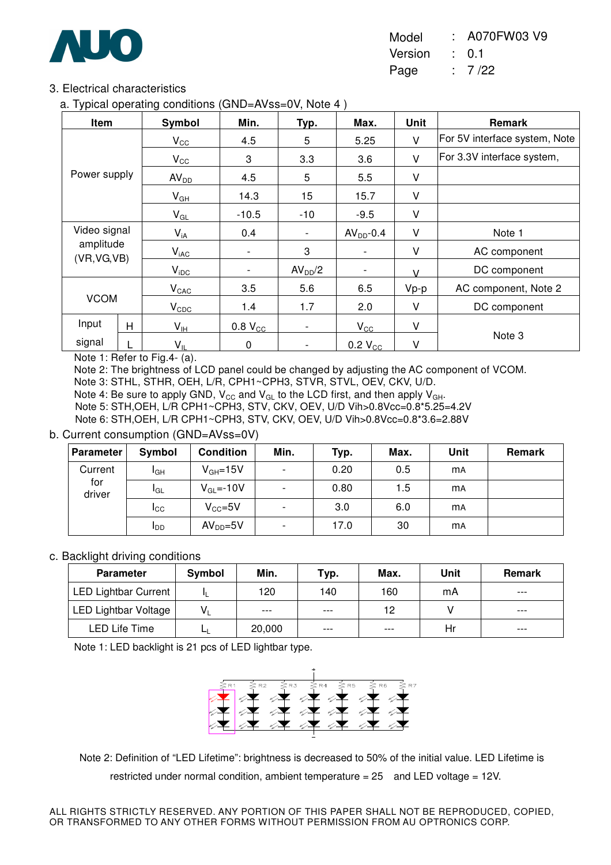

Model : A070FW03 V9 Version : 0.1

Page : 7 /22

#### 3. Electrical characteristics

a. Typical operating conditions (GND=AVss=0V, Note 4 )

| Item         |   | Symbol                     | Min.                     | <u>Тур.</u>              | Max.                     | Unit          | Remark                        |
|--------------|---|----------------------------|--------------------------|--------------------------|--------------------------|---------------|-------------------------------|
|              |   | $V_{\rm CC}$               | 4.5                      | 5                        | 5.25                     | V             | For 5V interface system, Note |
|              |   | $V_{\rm CC}$               | 3                        | 3.3                      | 3.6                      | V             | For 3.3V interface system,    |
| Power supply |   | AV <sub>DD</sub>           | 4.5                      | 5                        | 5.5                      | V             |                               |
|              |   | $V_{GH}$                   | 14.3                     | 15                       | 15.7                     | V             |                               |
|              |   | $V_{GL}$                   | $-10.5$                  | $-10$                    | $-9.5$                   | V             |                               |
| Video signal |   | $V_{iA}$                   | 0.4                      | $\overline{\phantom{0}}$ | $AVDD - 0.4$             | V             | Note 1                        |
| amplitude    |   | $V_{iAC}$                  | $\blacksquare$           | 3                        | ٠                        | V             | AC component                  |
| (VR, VG, VB) |   | $V_{\text{IDC}}$           | $\overline{\phantom{a}}$ | AV <sub>DD</sub> /2      | $\overline{\phantom{a}}$ | $\mathcal{U}$ | DC component                  |
|              |   | $V_{CAC}$                  | 3.5                      | 5.6                      | 6.5                      | $Vp-p$        | AC component, Note 2          |
| <b>VCOM</b>  |   | $V_{CDC}$                  | 1.4                      | 1.7                      | 2.0                      | V             | DC component                  |
| Input        | H | $V_{\text{IH}}$            | $0.8$ $VCC$              | $\overline{a}$           | $V_{\rm CC}$             | V             |                               |
| signal       |   | $\mathsf{V}_{\mathsf{IL}}$ | 0                        | $\overline{\phantom{0}}$ | $0.2 V_{CC}$             | v             | Note 3                        |

Note 1: Refer to Fig.4- (a).

Note 2: The brightness of LCD panel could be changed by adjusting the AC component of VCOM.

Note 3: STHL, STHR, OEH, L/R, CPH1~CPH3, STVR, STVL, OEV, CKV, U/D.

Note 4: Be sure to apply GND,  $V_{CC}$  and  $V_{GL}$  to the LCD first, and then apply  $V_{GH}$ .

Note 5: STH,OEH, L/R CPH1~CPH3, STV, CKV, OEV, U/D Vih>0.8Vcc=0.8\*5.25=4.2V

Note 6: STH,OEH, L/R CPH1~CPH3, STV, CKV, OEV, U/D Vih>0.8Vcc=0.8\*3.6=2.88V

#### b. Current consumption (GND=AVss=0V)

| Parameter     | Symbol          | <b>Condition</b> | Min.                     | Typ. | Max. | Unit      | Remark |
|---------------|-----------------|------------------|--------------------------|------|------|-----------|--------|
| Current       | I <sub>GH</sub> | $V_{GH} = 15V$   | $\overline{\phantom{a}}$ | 0.20 | 0.5  | <b>mA</b> |        |
| for<br>driver | IGL             | $V_{GL} = -10V$  | $\overline{\phantom{a}}$ | 0.80 | 1.5  | <b>mA</b> |        |
|               | ICC             | $V_{CC} = 5V$    | $\overline{\phantom{a}}$ | 3.0  | 6.0  | <b>MA</b> |        |
|               | <b>I</b> DD     | $AVDD=5V$        | $\overline{\phantom{a}}$ | 17.0 | 30   | <b>MA</b> |        |

#### c. Backlight driving conditions

| <b>Parameter</b>            | Symbol  | Min.   | Typ.  | Max.  | Unit | <b>Remark</b> |
|-----------------------------|---------|--------|-------|-------|------|---------------|
| <b>LED Lightbar Current</b> |         | 120    | 140   | 160   | mA   | $---$         |
| <b>LED Lightbar Voltage</b> | $V_{1}$ | $---$  | $---$ | 12    |      | $---$         |
| LED Life Time               |         | 20,000 | $---$ | $---$ | Hr   | $---$         |

Note 1: LED backlight is 21 pcs of LED lightbar type.



 Note 2: Definition of "LED Lifetime": brightness is decreased to 50% of the initial value. LED Lifetime is restricted under normal condition, ambient temperature  $= 25$  and LED voltage  $= 12V$ .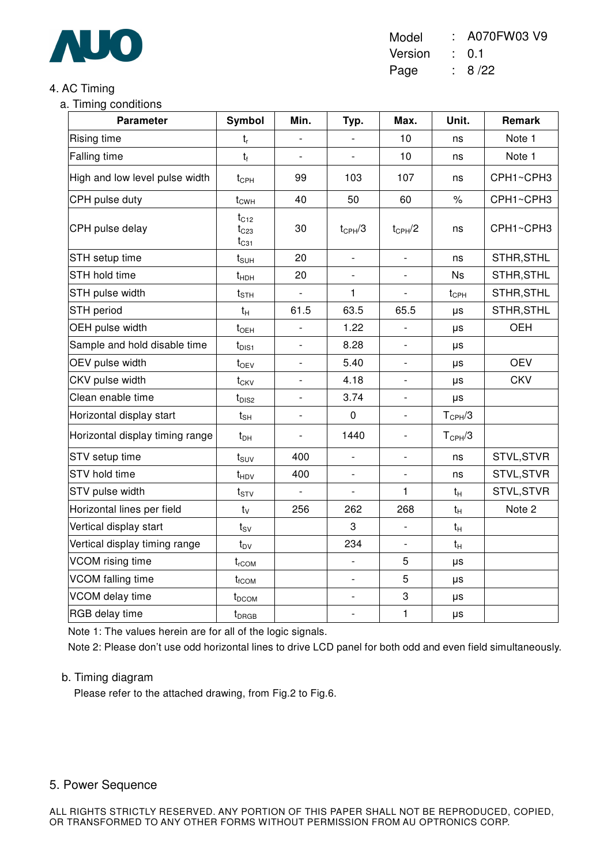

Model : A070FW03 V9 Version : 0.1

Page : 8 /22

### 4. AC Timing

a. Timing conditions

| <b>Parameter</b>                | Symbol                              | Min.                     | Typ.                     | Max.                     | Unit.              | Remark     |
|---------------------------------|-------------------------------------|--------------------------|--------------------------|--------------------------|--------------------|------------|
| Rising time                     | $t_{r}$                             |                          |                          | 10                       | ns                 | Note 1     |
| Falling time                    | $t_{f}$                             |                          |                          | 10                       | ns                 | Note 1     |
| High and low level pulse width  | $t_{\text{CPH}}$                    | 99                       | 103                      | 107                      | ns                 | CPH1~CPH3  |
| CPH pulse duty                  | $t_{CWH}$                           | 40                       | 50                       | 60                       | $\%$               | CPH1~CPH3  |
| CPH pulse delay                 | $t_{C12}$<br>$t_{C23}$<br>$t_{C31}$ | 30                       | $t_{\rm CPH}/3$          | $t_{CPH}/2$              | ns                 | CPH1~CPH3  |
| STH setup time                  | $t_{\text{SUH}}$                    | 20                       | $\overline{\phantom{a}}$ | $\overline{\phantom{a}}$ | ns                 | STHR, STHL |
| STH hold time                   | $t_{HDH}$                           | 20                       |                          |                          | <b>Ns</b>          | STHR, STHL |
| STH pulse width                 | $t_{\text{STH}}$                    | $\overline{a}$           | 1                        | $\overline{\phantom{a}}$ | $t_{\text{CPH}}$   | STHR, STHL |
| <b>STH</b> period               | $t_H$                               | 61.5                     | 63.5                     | 65.5                     | μs                 | STHR, STHL |
| OEH pulse width                 | $t_{\text{OEH}}$                    |                          | 1.22                     |                          | μs                 | <b>OEH</b> |
| Sample and hold disable time    | $t_{\text{DIS1}}$                   | $\overline{a}$           | 8.28                     | $\blacksquare$           | μs                 |            |
| OEV pulse width                 | $t_{OEV}$                           | $\overline{\phantom{0}}$ | 5.40                     | $\blacksquare$           | μs                 | <b>OEV</b> |
| CKV pulse width                 | $t_{CKV}$                           | $\overline{\phantom{a}}$ | 4.18                     | $\overline{\phantom{a}}$ | μs                 | <b>CKV</b> |
| Clean enable time               | $t_{DIS2}$                          |                          | 3.74                     |                          | μs                 |            |
| Horizontal display start        | $t_{\scriptstyle\text{SH}}$         | $\overline{a}$           | $\boldsymbol{0}$         | $\overline{\phantom{a}}$ | $T_{\text{CPH}}/3$ |            |
| Horizontal display timing range | $t_{DH}$                            | -                        | 1440                     | $\overline{\phantom{a}}$ | $T_{\text{CPH}}/3$ |            |
| STV setup time                  | $t_{\text{SUV}}$                    | 400                      | $\frac{1}{2}$            | $\overline{\phantom{a}}$ | ns                 | STVL, STVR |
| STV hold time                   | $t_{HDV}$                           | 400                      |                          |                          | ns                 | STVL, STVR |
| STV pulse width                 | $t_{STV}$                           | $\blacksquare$           | $\blacksquare$           | 1                        | $t_H$              | STVL, STVR |
| Horizontal lines per field      | $t_V$                               | 256                      | 262                      | 268                      | $t_H$              | Note 2     |
| Vertical display start          | $t_{\text{SV}}$                     |                          | 3                        | $\overline{a}$           | $t_H$              |            |
| Vertical display timing range   | $t_{\text{DV}}$                     |                          | 234                      | $\blacksquare$           | $t_H$              |            |
| VCOM rising time                | $t_{rCOM}$                          |                          |                          | 5                        | μs                 |            |
| VCOM falling time               | $t_{\text{fCOM}}$                   |                          | $\blacksquare$           | 5                        | μs                 |            |
| VCOM delay time                 | t <sub>DCOM</sub>                   |                          | $\overline{\phantom{a}}$ | 3                        | μs                 |            |
| RGB delay time                  | $t_{DRGB}$                          |                          | $\overline{\phantom{a}}$ | $\mathbf{1}$             | $\mu s$            |            |

Note 1: The values herein are for all of the logic signals.

Note 2: Please don't use odd horizontal lines to drive LCD panel for both odd and even field simultaneously.

#### b. Timing diagram

Please refer to the attached drawing, from Fig.2 to Fig.6.

#### 5. Power Sequence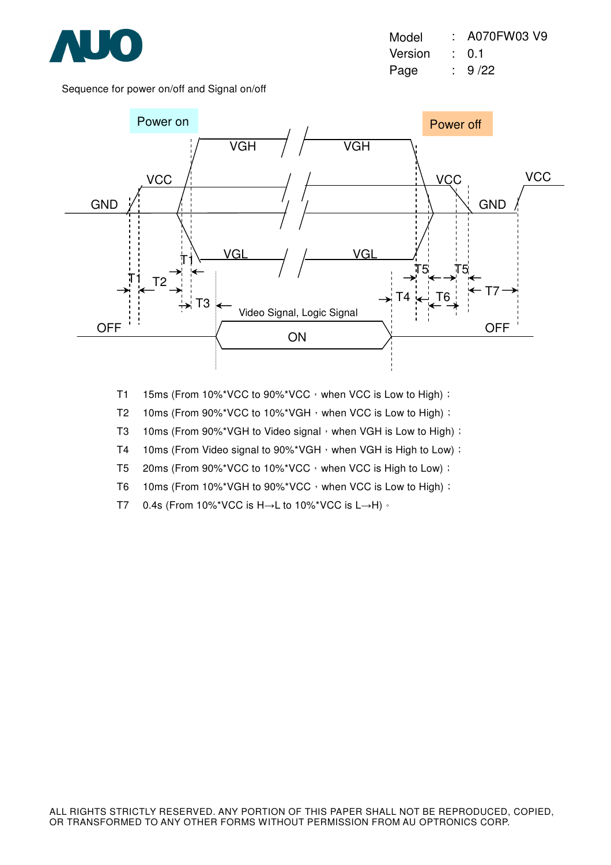

Model : A070FW03 V9 Version : 0.1 Page : 9/22

Sequence for power on/off and Signal on/off



T1 15ms (From 10%\*VCC to 90%\*VCC, when VCC is Low to High) :

T2 10ms (From 90%\*VCC to 10%\*VGH, when VCC is Low to High) :

T3 10ms (From 90%\*VGH to Video signal, when VGH is Low to High) :

T4 10ms (From Video signal to 90%\*VGH, when VGH is High to Low) :

T5 20ms (From 90%\*VCC to 10%\*VCC, when VCC is High to Low) :

T6 10ms (From 10%\*VGH to 90%\*VCC, when VCC is Low to High) :

T7 0.4s (From 10%\*VCC is H→L to 10%\*VCC is L→H) ∘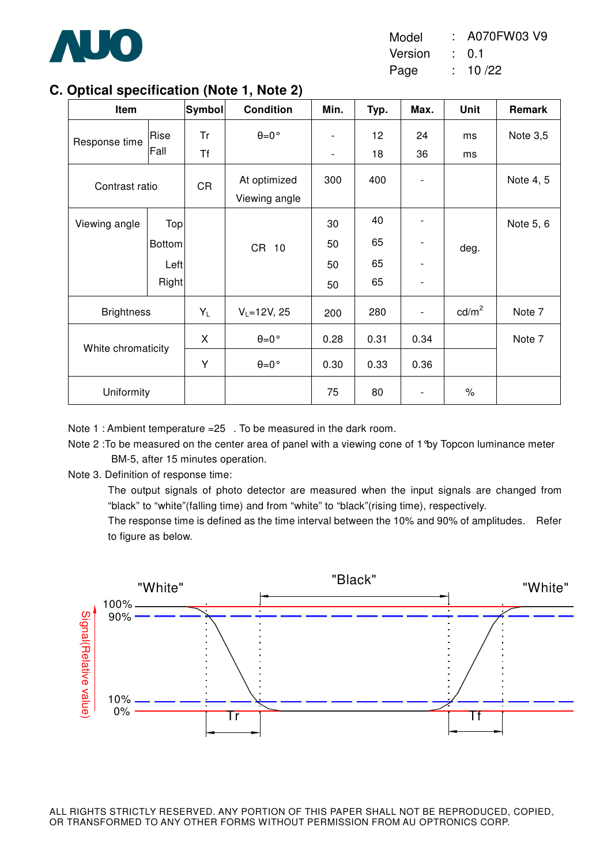

Model : A070FW03 V9

Version : 0.1

Page : 10 /22

## **C. Optical specification (Note 1, Note 2)**

| Item               |               | Symbol    | <b>Condition</b>              | Min.                     | Typ. | Max. | Unit            | Remark    |
|--------------------|---------------|-----------|-------------------------------|--------------------------|------|------|-----------------|-----------|
| Response time      | Rise          | Tr        | $\theta = 0$ °                | $\overline{\phantom{a}}$ | 12   | 24   | ms              | Note 3,5  |
|                    | Fall          | <b>Tf</b> |                               | $\overline{\phantom{a}}$ | 18   | 36   | ms              |           |
| Contrast ratio     |               | <b>CR</b> | At optimized<br>Viewing angle | 300                      | 400  |      |                 | Note 4, 5 |
| Viewing angle      | Top           |           |                               | 30                       | 40   |      |                 | Note 5, 6 |
|                    | <b>Bottom</b> |           | CR 10                         | 50                       | 65   |      | deg.            |           |
|                    | Left          |           |                               | 50                       | 65   |      |                 |           |
|                    | Right         |           |                               | 50                       | 65   |      |                 |           |
| <b>Brightness</b>  |               | $Y_L$     | $V_L = 12V, 25$               | 200                      | 280  |      | $\text{cd/m}^2$ | Note 7    |
| White chromaticity |               | X         | $\theta = 0$ °                | 0.28                     | 0.31 | 0.34 |                 | Note 7    |
|                    |               | Υ         | $\theta = 0$ °                | 0.30                     | 0.33 | 0.36 |                 |           |
| Uniformity         |               |           |                               | 75                       | 80   |      | $\%$            |           |

Note 1 : Ambient temperature =25. To be measured in the dark room.

Note 2 :To be measured on the center area of panel with a viewing cone of 1°by Topcon luminance meter BM-5, after 15 minutes operation.

Note 3. Definition of response time:

The output signals of photo detector are measured when the input signals are changed from "black" to "white"(falling time) and from "white" to "black"(rising time), respectively.

The response time is defined as the time interval between the 10% and 90% of amplitudes. Refer to figure as below.

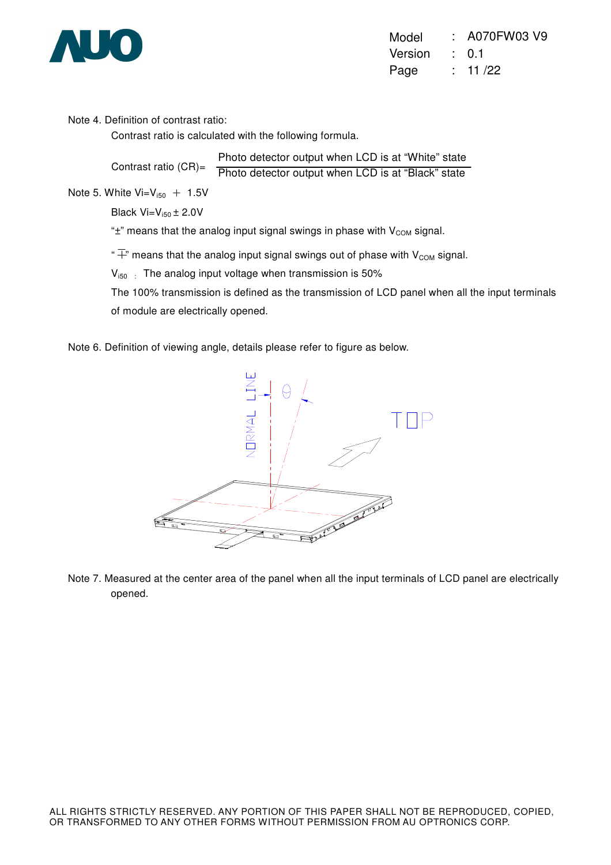

| Model   | : A070FW03 V9    |
|---------|------------------|
| Version | $\therefore$ 0.1 |
| Page    | : 11/22          |

Note 4. Definition of contrast ratio:

Contrast ratio is calculated with the following formula.

Contrast ratio (CR)= Photo detector output when LCD is at "White" state Photo detector output when LCD is at "Black" state

Note 5. White  $Vi = V_{150} + 1.5V$ 

Black  $Vi=V_{150} \pm 2.0V$ 

" $\pm$ " means that the analog input signal swings in phase with  $V_{COM}$  signal.

" $\overline{+}$ " means that the analog input signal swings out of phase with V<sub>COM</sub> signal.

 $V_{i50}$  : The analog input voltage when transmission is 50%

The 100% transmission is defined as the transmission of LCD panel when all the input terminals of module are electrically opened.

Note 6. Definition of viewing angle, details please refer to figure as below.



Note 7. Measured at the center area of the panel when all the input terminals of LCD panel are electrically opened.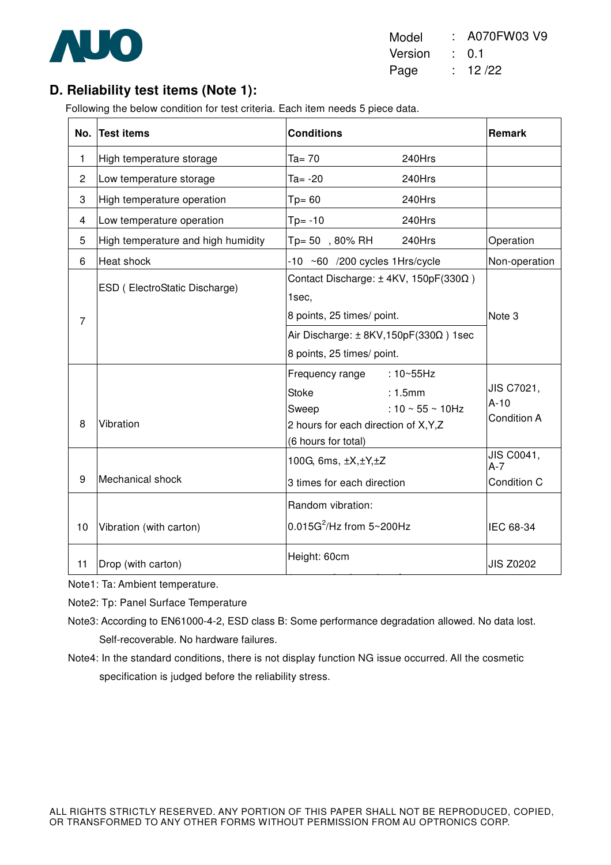

| Model   | : A070FW03 V9    |
|---------|------------------|
| Version | $\therefore$ 0.1 |
| Page    | : 12/22          |

# **D. Reliability test items (Note 1):**

Following the below condition for test criteria. Each item needs 5 piece data.

| No.            | <b>Test items</b>                  | <b>Conditions</b>                                                                                                                                                       | <b>Remark</b>                       |
|----------------|------------------------------------|-------------------------------------------------------------------------------------------------------------------------------------------------------------------------|-------------------------------------|
| 1              | High temperature storage           | $Ta = 70$<br>240Hrs                                                                                                                                                     |                                     |
| $\overline{c}$ | Low temperature storage            | $Ta = -20$<br>240Hrs                                                                                                                                                    |                                     |
| 3              | High temperature operation         | $Tp = 60$<br>240Hrs                                                                                                                                                     |                                     |
| 4              | Low temperature operation          | $Tp = -10$<br>240Hrs                                                                                                                                                    |                                     |
| 5              | High temperature and high humidity | Tp= 50, 80% RH<br>240Hrs                                                                                                                                                | Operation                           |
| 6              | Heat shock                         | $-10$ ~60 /200 cycles 1Hrs/cycle                                                                                                                                        | Non-operation                       |
| $\overline{7}$ | ESD (ElectroStatic Discharge)      | Contact Discharge: ± 4KV, 150pF(330Ω)<br>1sec,<br>8 points, 25 times/ point.<br>Air Discharge: $\pm$ 8KV, 150pF(330 $\Omega$ ) 1sec                                     | Note 3                              |
|                |                                    | 8 points, 25 times/ point.                                                                                                                                              |                                     |
| 8              | Vibration                          | Frequency range<br>$:10 \times 55$ Hz<br><b>Stoke</b><br>: 1.5mm<br>: 10 $\sim$ 55 $\sim$ 10Hz<br>Sweep<br>2 hours for each direction of X, Y, Z<br>(6 hours for total) | JIS C7021,<br>$A-10$<br>Condition A |
| 9              | Mechanical shock                   | 100G, 6ms, $\pm X, \pm Y, \pm Z$<br>3 times for each direction                                                                                                          | JIS C0041,<br>$A-7$<br>Condition C  |
| 10             | Vibration (with carton)            | Random vibration:<br>$0.015G^2$ /Hz from 5~200Hz                                                                                                                        | IEC 68-34                           |
| 11             | Drop (with carton)                 | Height: 60cm                                                                                                                                                            | <b>JIS Z0202</b>                    |

Note1: Ta: Ambient temperature.

Note2: Tp: Panel Surface Temperature

Note3: According to EN61000-4-2, ESD class B: Some performance degradation allowed. No data lost. Self-recoverable. No hardware failures.

1 corner, 3 edges, 6 surfaces, 6 surfaces, 6 surfaces, 6 surfaces, 6 surfaces, 6 surfaces, 6 surfaces, 6 surfa

Note4: In the standard conditions, there is not display function NG issue occurred. All the cosmetic specification is judged before the reliability stress.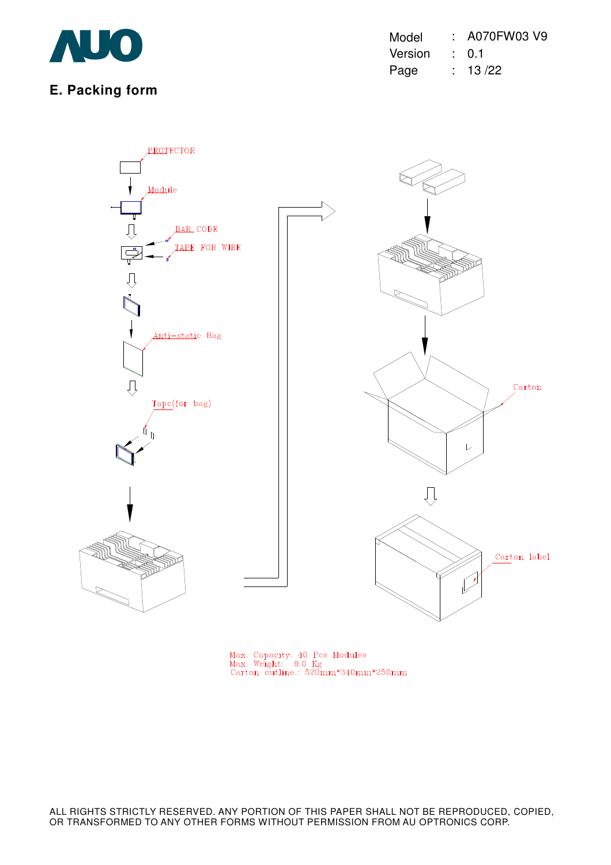

**E. Packing form** 

| Model   | : A070FW03 V9    |
|---------|------------------|
| Version | $\therefore$ 0.1 |
| Page    | : 13/22          |



Max. Capacity: 40 Pcs Modules<br>Max. Weight: 9.0 Kg<br>Carton outline.: 520mm\*340mm\*250mm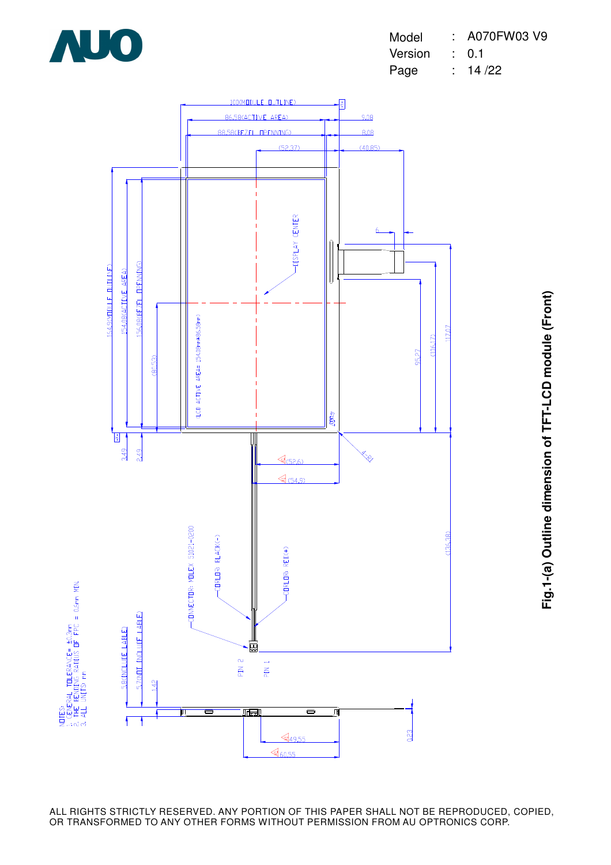





**Fig.1-(a) Outline dimension of TFT-LCD module (Front)** Fig.1-(a) Outline dimension of TFT-LCD module (Front)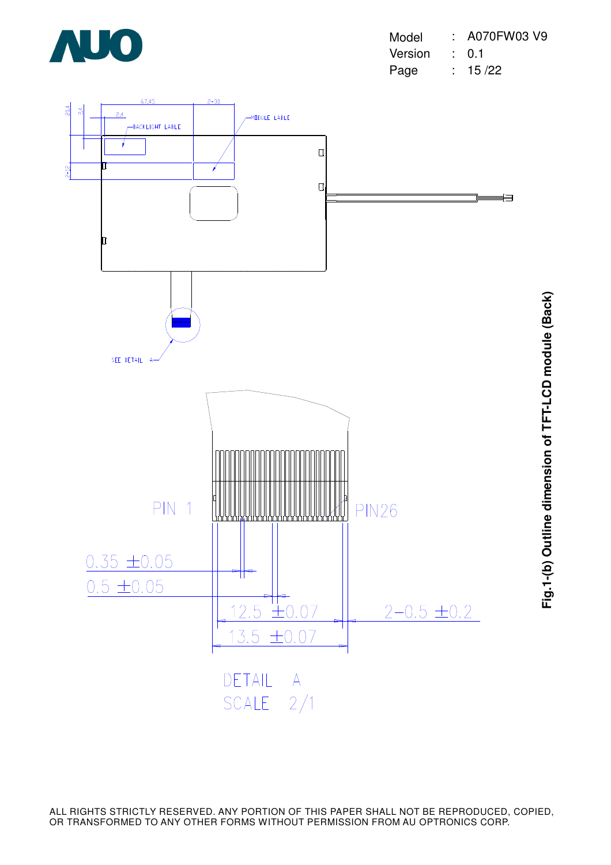

| Model   | $: A070$ FW03 V9 |
|---------|------------------|
| Version | $\therefore$ 0.1 |
| Page    | : 15/22          |

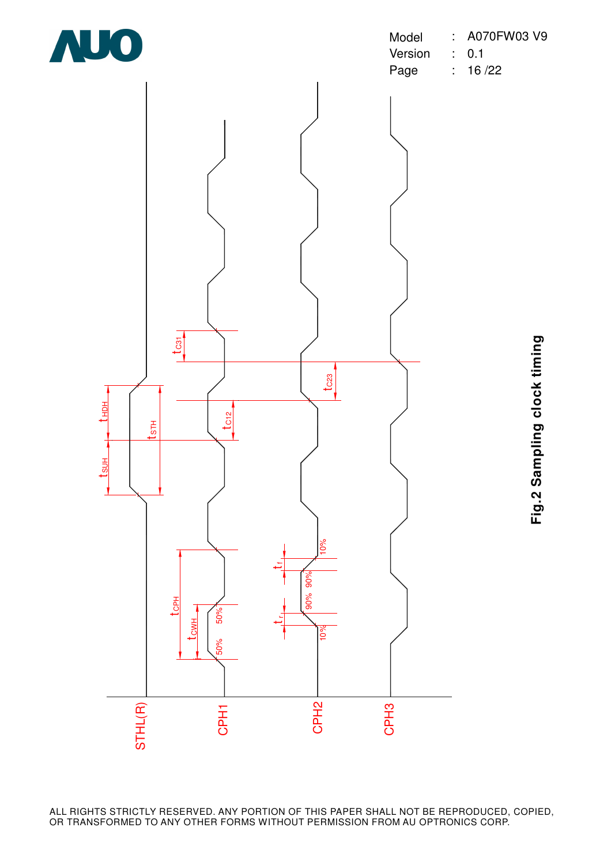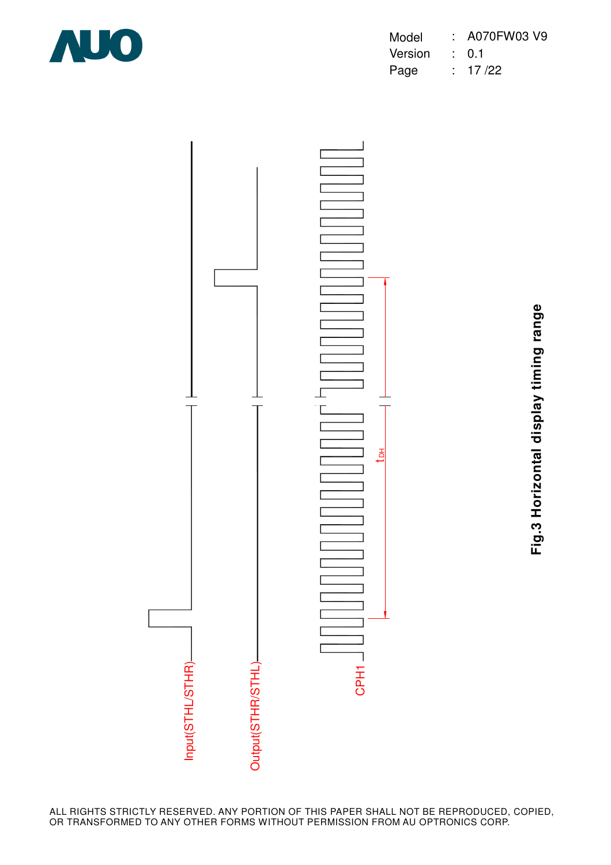

| Model   | : A070FW03 V9    |
|---------|------------------|
| Version | $\therefore$ 0.1 |
| Page    | : 17/22          |



**Fig.3 Horizontal display timing range** Fig.3 Horizontal display timing range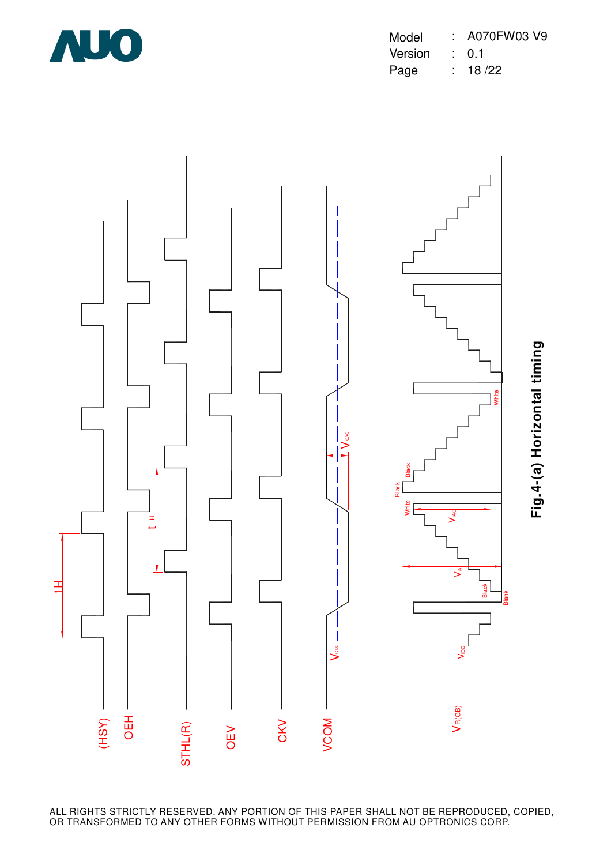

| Model   | : A070FW03 V9    |
|---------|------------------|
| Version | $\therefore$ 0.1 |
| Page    | : 18/22          |

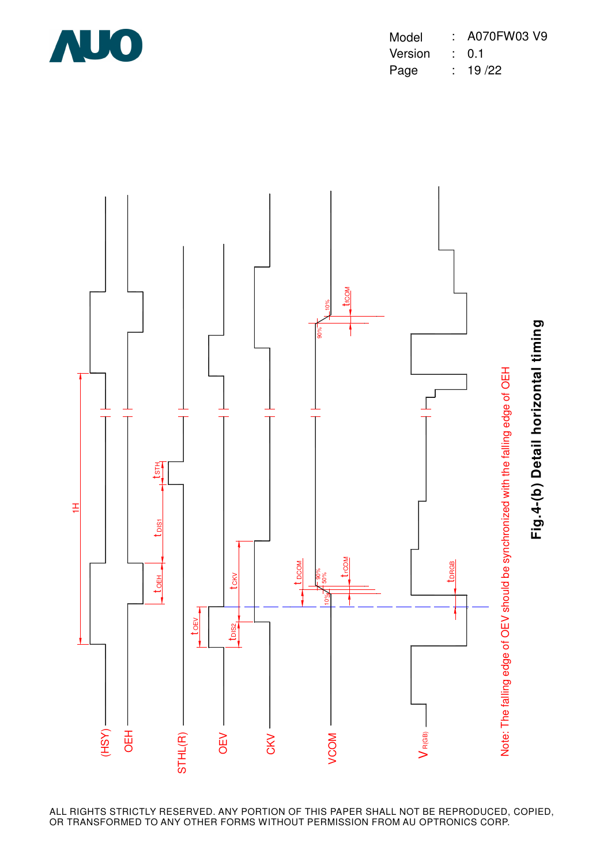

| Model   | : A070FW03 V9    |
|---------|------------------|
| Version | $\therefore$ 0.1 |
| Page    | : 19/22          |

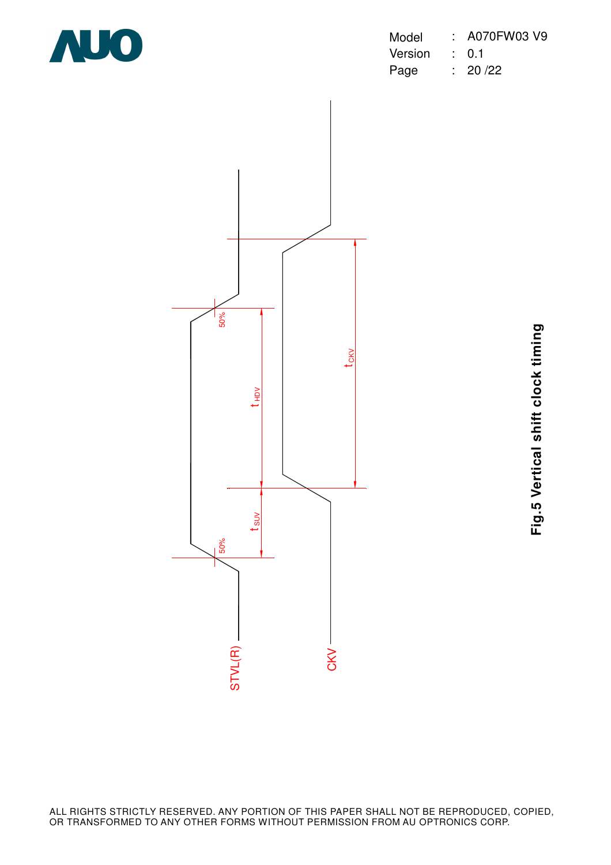

| Model   | : A070FW03 V9    |
|---------|------------------|
| Version | $\therefore$ 0.1 |
| Page    | : 20/22          |



**Fig.5 Vertical shift clock timing** Fig.5 Vertical shift clock timing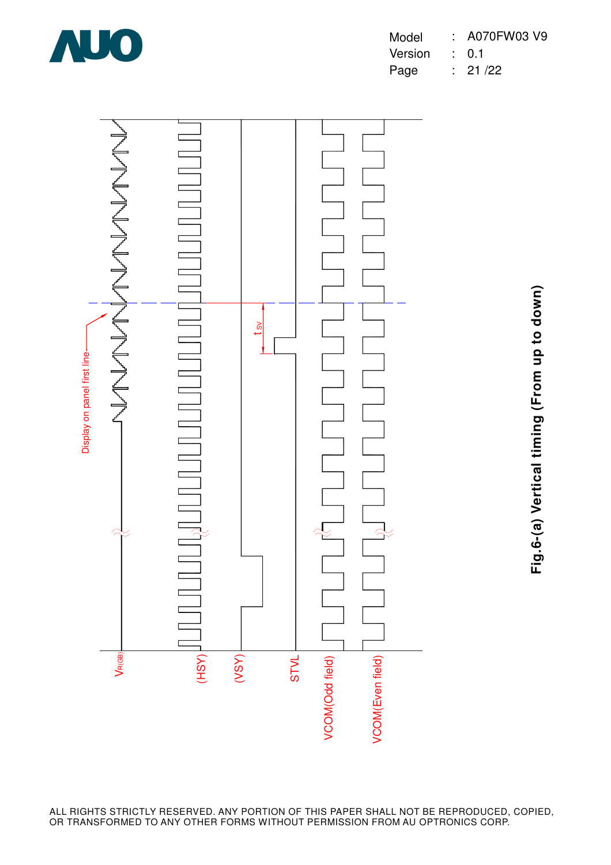

| Model   | $: A070$ FW03 V9 |
|---------|------------------|
| Version | $\therefore$ 0.1 |
| Page    | : 21/22          |



**Fig.6-(a) Vertical timing (From up to down)** Fig.6-(a) Vertical timing (From up to down)